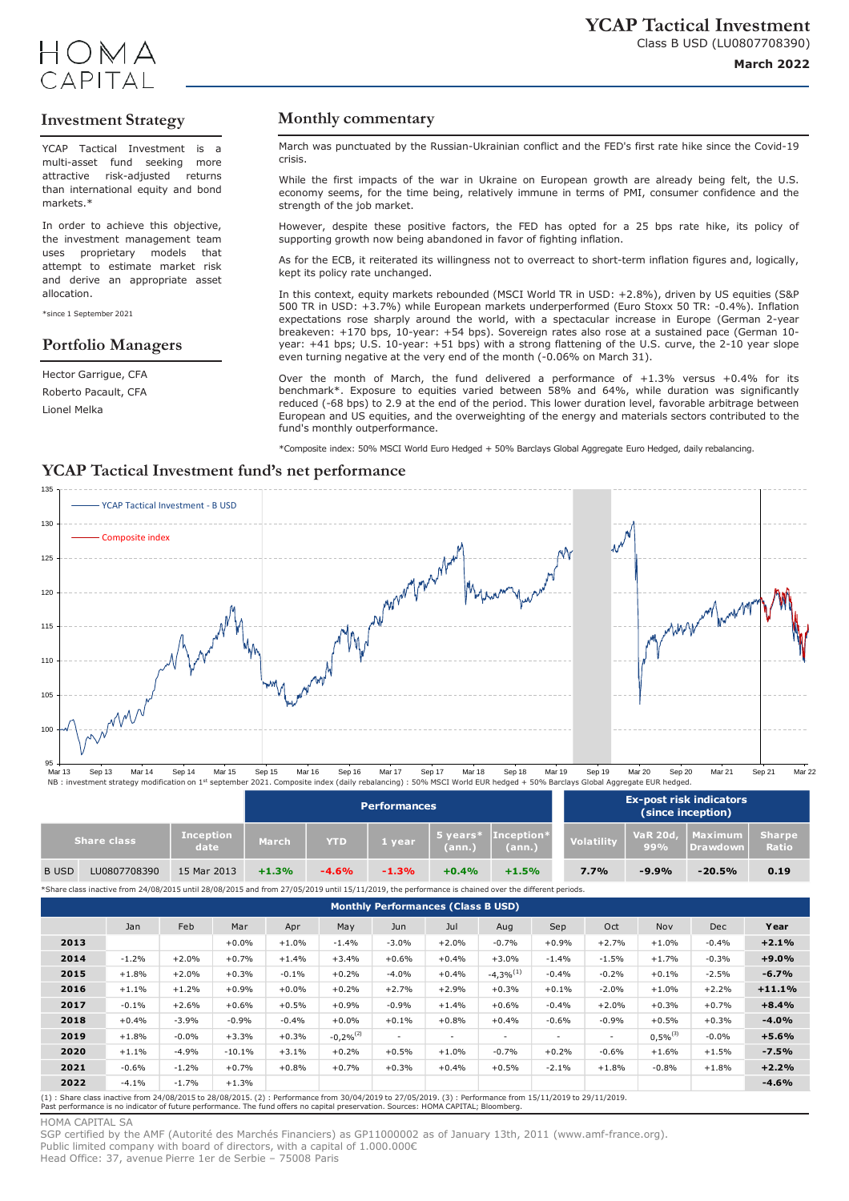



# **Investment Strategy**

YCAP Tactical Investment is a multi-asset fund seeking more attractive risk-adjusted returns than international equity and bond markets<sup>\*</sup>

In order to achieve this objective, the investment management team uses proprietary models that attempt to estimate market risk and derive an appropriate asset allocation.

\*since 1 September 2021

### **Portfolio Managers**

Hector Garrigue, CFA Roberto Pacault, CFA Lionel Melka

# **Monthly commentary**

March was punctuated by the Russian-Ukrainian conflict and the FED's first rate hike since the Covid-19 crisis.

While the first impacts of the war in Ukraine on European growth are already being felt, the U.S. economy seems, for the time being, relatively immune in terms of PMI, consumer confidence and the strength of the job market.

However, despite these positive factors, the FED has opted for a 25 bps rate hike, its policy of supporting growth now being abandoned in favor of fighting inflation.

As for the ECB, it reiterated its willingness not to overreact to short-term inflation figures and, logically, kept its policy rate unchanged.

In this context, equity markets rebounded (MSCI World TR in USD: +2.8%), driven by US equities (S&P 500 TR in USD: +3.7%) while European markets underperformed (Euro Stoxx 50 TR: -0.4%). Inflation expectations rose sharply around the world, with a spectacular increase in Europe (German 2-year breakeven: +170 bps, 10-year: +54 bps). Sovereign rates also rose at a sustained pace (German 10 year: +41 bps; U.S. 10-year: +51 bps) with a strong flattening of the U.S. curve, the 2-10 year slope even turning negative at the very end of the month (-0.06% on March 31).

Over the month of March, the fund delivered a performance of  $+1.3\%$  versus  $+0.4\%$  for its benchmark\*. Exposure to equities varied between 58% and 64%, while duration was significantly reduced (-68 bps) to 2.9 at the end of the period. This lower duration level, favorable arbitrage between European and US equities, and the overweighting of the energy and materials sectors contributed to the fund's monthly outperformance.

\*Composite index: 50% MSCI World Euro Hedged + 50% Barclays Global Aggregate Euro Hedged, daily rebalancing.

### **YCAP Tactical Investment fund's net performance**



|                    |              |                          | <b>Performances</b> |            |         |                            |                      | <b>Ex-post risk indicators</b><br>(since inception) |                       |                            |                               |
|--------------------|--------------|--------------------------|---------------------|------------|---------|----------------------------|----------------------|-----------------------------------------------------|-----------------------|----------------------------|-------------------------------|
| <b>Share class</b> |              | <b>Inception</b><br>date | March               | <b>YTD</b> | 1 year  | $\sim$ years $^*$<br>(ann. | Inception*<br>(ann.) | <b>Volatility</b>                                   | <b>VaR 20d</b><br>99% | Maximum<br><b>Drawdown</b> | <b>Sharpe</b><br><b>Ratio</b> |
| <b>B</b> USD       | LU0807708390 | 15 Mar 2013              | $+1.3%$             | $-4.6%$    | $-1.3%$ | $+0.4%$                    | $+1.5%$              | 7.7%                                                | $-9.9%$               | $-20.5%$                   | 0.19                          |

\*Share class inactive from 24/08/2015 until 28/08/2015 and from 27/05/2019 until 15/11/2019, the performance is chained over the different periods.

| <b>Monthly Performances (Class B USD)</b> |         |         |          |         |                |                          |                          |                          |         |                          |               |            |          |
|-------------------------------------------|---------|---------|----------|---------|----------------|--------------------------|--------------------------|--------------------------|---------|--------------------------|---------------|------------|----------|
|                                           | Jan     | Feb     | Mar      | Apr     | May            | Jun                      | Jul                      | Aug                      | Sep     | Oct                      | Nov           | <b>Dec</b> | Year     |
| 2013                                      |         |         | $+0.0%$  | $+1.0%$ | $-1.4%$        | $-3.0%$                  | $+2.0%$                  | $-0.7%$                  | $+0.9%$ | $+2.7%$                  | $+1.0%$       | $-0.4%$    | $+2.1%$  |
| 2014                                      | $-1.2%$ | $+2.0%$ | $+0.7%$  | $+1.4%$ | $+3.4%$        | $+0.6%$                  | $+0.4%$                  | $+3.0%$                  | $-1.4%$ | $-1.5%$                  | $+1.7%$       | $-0.3%$    | $+9.0%$  |
| 2015                                      | $+1.8%$ | $+2.0%$ | $+0.3%$  | $-0.1%$ | $+0.2%$        | $-4.0%$                  | $+0.4%$                  | $-4,3%^{(1)}$            | $-0.4%$ | $-0.2%$                  | $+0.1%$       | $-2.5%$    | $-6.7%$  |
| 2016                                      | $+1.1%$ | $+1.2%$ | $+0.9%$  | $+0.0%$ | $+0.2%$        | $+2.7%$                  | $+2.9%$                  | $+0.3%$                  | $+0.1%$ | $-2.0%$                  | $+1.0%$       | $+2.2%$    | $+11.1%$ |
| 2017                                      | $-0.1%$ | $+2.6%$ | $+0.6%$  | $+0.5%$ | $+0.9%$        | $-0.9%$                  | $+1.4%$                  | $+0.6%$                  | $-0.4%$ | $+2.0%$                  | $+0.3%$       | $+0.7%$    | $+8.4%$  |
| 2018                                      | $+0.4%$ | $-3.9%$ | $-0.9%$  | $-0.4%$ | $+0.0%$        | $+0.1%$                  | $+0.8%$                  | $+0.4%$                  | $-0.6%$ | $-0.9%$                  | $+0.5%$       | $+0.3%$    | $-4.0%$  |
| 2019                                      | $+1.8%$ | $-0.0%$ | $+3.3%$  | $+0.3%$ | $-0,2\%^{(2)}$ | $\overline{\phantom{a}}$ | $\overline{\phantom{a}}$ | $\overline{\phantom{a}}$ | $\sim$  | $\overline{\phantom{a}}$ | $0.5\%^{(3)}$ | $-0.0%$    | $+5.6%$  |
| 2020                                      | $+1.1%$ | $-4.9%$ | $-10.1%$ | $+3.1%$ | $+0.2%$        | $+0.5%$                  | $+1.0%$                  | $-0.7%$                  | $+0.2%$ | $-0.6%$                  | $+1.6%$       | $+1.5%$    | $-7.5%$  |
| 2021                                      | $-0.6%$ | $-1.2%$ | $+0.7%$  | $+0.8%$ | $+0.7%$        | $+0.3%$                  | $+0.4%$                  | $+0.5%$                  | $-2.1%$ | $+1.8%$                  | $-0.8%$       | $+1.8%$    | $+2.2%$  |
| 2022                                      | $-4.1%$ | $-1.7%$ | $+1.3%$  |         |                |                          |                          |                          |         |                          |               |            | $-4.6%$  |

(1) : Share class inactive from 24/08/2015 to 28/08/2015. (2) : Performance from 30/04/2019 to 27/05/2019. (3) : Performance from 15/11/2019 to 29/11/2019.<br>Past performance is no indicator of future performance. The fund o

### HOMA CAPITAL SA

SGP certified by the AMF (Autorité des Marchés Financiers) as GP11000002 as of January 13th, 2011 (www.amf-france.org). Public limited company with board of directors, with a capital of 1.000.000€ Head Office: 37, avenue Pierre 1er de Serbie – 75008 Paris